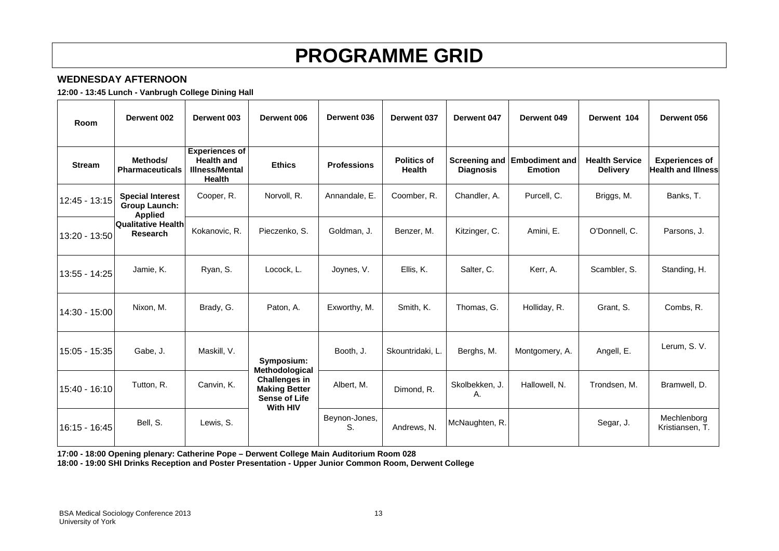# **PROGRAMME GRID**

## **WEDNESDAY AFTERNOON**

**12:00 - 13:45 Lunch - Vanbrugh College Dining Hall** 

| Room          | Derwent 002                                                       | Derwent 003                                                                   | Derwent 006                                                                                        | Derwent 036         | Derwent 037                         | Derwent 047                              | Derwent 049                             | Derwent 104                              | Derwent 056                                        |
|---------------|-------------------------------------------------------------------|-------------------------------------------------------------------------------|----------------------------------------------------------------------------------------------------|---------------------|-------------------------------------|------------------------------------------|-----------------------------------------|------------------------------------------|----------------------------------------------------|
| <b>Stream</b> | Methods/<br><b>Pharmaceuticals</b>                                | <b>Experiences of</b><br><b>Health and</b><br><b>Illness/Mental</b><br>Health | <b>Ethics</b>                                                                                      | <b>Professions</b>  | <b>Politics of</b><br><b>Health</b> | <b>Screening and</b><br><b>Diagnosis</b> | <b>Embodiment and</b><br><b>Emotion</b> | <b>Health Service</b><br><b>Delivery</b> | <b>Experiences of</b><br><b>Health and Illness</b> |
| 12:45 - 13:15 | <b>Special Interest</b><br><b>Group Launch:</b><br><b>Applied</b> | Cooper, R.                                                                    | Norvoll, R.                                                                                        | Annandale, E.       | Coomber, R.                         | Chandler, A.                             | Purcell, C.                             | Briggs, M.                               | Banks, T.                                          |
| 13:20 - 13:50 | <b>Qualitative Health</b><br>Research                             | Kokanovic, R.                                                                 | Pieczenko, S.                                                                                      | Goldman, J.         | Benzer, M.                          | Kitzinger, C.                            | Amini, E.                               | O'Donnell, C.                            | Parsons, J.                                        |
| 13:55 - 14:25 | Jamie, K.                                                         | Ryan, S.                                                                      | Locock, L.                                                                                         | Joynes, V.          | Ellis, K.                           | Salter, C.                               | Kerr, A.                                | Scambler, S.                             | Standing, H.                                       |
| 14:30 - 15:00 | Nixon, M.                                                         | Brady, G.                                                                     | Paton, A.                                                                                          | Exworthy, M.        | Smith, K.                           | Thomas, G.                               | Holliday, R.                            | Grant, S.                                | Combs, R.                                          |
| 15:05 - 15:35 | Gabe, J.                                                          | Maskill, V.                                                                   | Symposium:                                                                                         | Booth, J.           | Skountridaki, L.                    | Berghs, M.                               | Montgomery, A.                          | Angell, E.                               | Lerum. S. V.                                       |
| 15:40 - 16:10 | Tutton, R.                                                        | Canvin, K.                                                                    | Methodological<br><b>Challenges in</b><br><b>Making Better</b><br><b>Sense of Life</b><br>With HIV | Albert, M.          | Dimond. R.                          | Skolbekken, J.<br>Α.                     | Hallowell, N.                           | Trondsen, M.                             | Bramwell, D.                                       |
| 16:15 - 16:45 | Bell, S.                                                          | Lewis, S.                                                                     |                                                                                                    | Beynon-Jones,<br>S. | Andrews, N.                         | McNaughten, R.                           |                                         | Segar, J.                                | Mechlenborg<br>Kristiansen, T.                     |

**17:00 - 18:00 Opening plenary: Catherine Pope – Derwent College Main Auditorium Room 028** 

**18:00 - 19:00 SHI Drinks Reception and Poster Presentation - Upper Junior Common Room, Derwent College**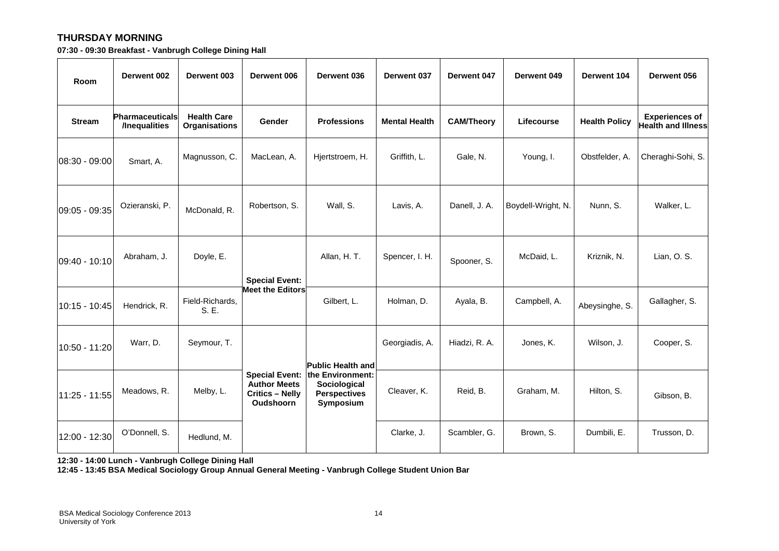### **THURSDAY MORNING**

**07:30 - 09:30 Breakfast - Vanbrugh College Dining Hall** 

| Room            | Derwent 002                             | Derwent 003                                | Derwent 006                                                                                | Derwent 036                                                          | Derwent 037          | Derwent 047       | Derwent 049        | Derwent 104          | Derwent 056                                        |
|-----------------|-----------------------------------------|--------------------------------------------|--------------------------------------------------------------------------------------------|----------------------------------------------------------------------|----------------------|-------------------|--------------------|----------------------|----------------------------------------------------|
| <b>Stream</b>   | <b>Pharmaceuticals</b><br>/Inequalities | <b>Health Care</b><br><b>Organisations</b> | Gender                                                                                     | <b>Professions</b>                                                   | <b>Mental Health</b> | <b>CAM/Theory</b> | Lifecourse         | <b>Health Policy</b> | <b>Experiences of</b><br><b>Health and Illness</b> |
| $08:30 - 09:00$ | Smart, A.                               | Magnusson, C.                              | MacLean, A.                                                                                | Hjertstroem, H.                                                      | Griffith, L.         | Gale, N.          | Young, I.          | Obstfelder, A.       | Cheraghi-Sohi, S.                                  |
| 09:05 - 09:35   | Ozieranski, P.                          | McDonald, R.                               | Robertson, S.                                                                              | Wall, S.                                                             | Lavis, A.            | Danell, J. A.     | Boydell-Wright, N. | Nunn, S.             | Walker, L.                                         |
| 09:40 - 10:10   | Abraham, J.                             | Doyle, E.                                  | <b>Special Event:</b>                                                                      | Allan, H. T.                                                         | Spencer, I. H.       | Spooner, S.       | McDaid, L.         | Kriznik, N.          | Lian, O. S.                                        |
| 10:15 - 10:45   | Hendrick, R.                            | Field-Richards,<br>S. E.                   | <b>Meet the Editors</b>                                                                    | Gilbert, L.                                                          | Holman, D.           | Ayala, B.         | Campbell, A.       | Abeysinghe, S.       | Gallagher, S.                                      |
| 10:50 - 11:20   | Warr, D.                                | Seymour, T.                                |                                                                                            | <b>Public Health and</b>                                             | Georgiadis, A.       | Hiadzi, R. A.     | Jones, K.          | Wilson, J.           | Cooper, S.                                         |
| 11:25 - 11:55   | Meadows, R.                             | Melby, L.                                  | <b>Special Event:</b><br><b>Author Meets</b><br><b>Critics - Nelly</b><br><b>Oudshoorn</b> | the Environment:<br>Sociological<br><b>Perspectives</b><br>Symposium | Cleaver, K.          | Reid, B.          | Graham, M.         | Hilton, S.           | Gibson, B.                                         |
| 12:00 - 12:30   | O'Donnell, S.                           | Hedlund, M.                                |                                                                                            |                                                                      | Clarke, J.           | Scambler, G.      | Brown, S.          | Dumbili, E.          | Trusson, D.                                        |

**12:30 - 14:00 Lunch - Vanbrugh College Dining Hall** 

**12:45 - 13:45 BSA Medical Sociology Group Annual General Meeting - Vanbrugh College Student Union Bar**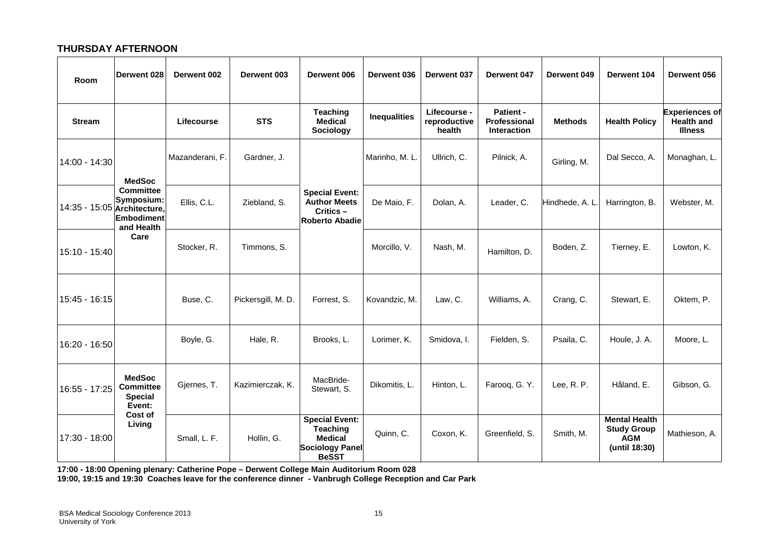#### **THURSDAY AFTERNOON**

| Room                        | Derwent 028                                                               | Derwent 002     | Derwent 003        | Derwent 006                                                                                          | Derwent 036         | Derwent 037                            | Derwent 047                                     | Derwent 049     | <b>Derwent 104</b>                                                        | Derwent 056                                                  |
|-----------------------------|---------------------------------------------------------------------------|-----------------|--------------------|------------------------------------------------------------------------------------------------------|---------------------|----------------------------------------|-------------------------------------------------|-----------------|---------------------------------------------------------------------------|--------------------------------------------------------------|
| <b>Stream</b>               |                                                                           | Lifecourse      | <b>STS</b>         | <b>Teaching</b><br><b>Medical</b><br>Sociology                                                       | <b>Inequalities</b> | Lifecourse -<br>reproductive<br>health | Patient -<br>Professional<br><b>Interaction</b> | <b>Methods</b>  | <b>Health Policy</b>                                                      | <b>Experiences of</b><br><b>Health and</b><br><b>Illness</b> |
| 14:00 - 14:30               | <b>MedSoc</b>                                                             | Mazanderani, F. | Gardner, J.        |                                                                                                      | Marinho, M. L.      | Ullrich, C.                            | Pilnick, A.                                     | Girling, M.     | Dal Secco, A.                                                             | Monaghan, L.                                                 |
| 14:35 - 15:05 Architecture, | <b>Committee</b><br>Symposium:<br><b>Embodiment</b><br>and Health<br>Care | Ellis, C.L.     | Ziebland, S.       | <b>Special Event:</b><br><b>Author Meets</b><br>Critics-<br><b>Roberto Abadie</b>                    | De Maio, F.         | Dolan, A.                              | Leader, C.                                      | Hindhede, A. L. | Harrington, B.                                                            | Webster, M.                                                  |
| 15:10 - 15:40               |                                                                           | Stocker, R.     | Timmons, S.        |                                                                                                      | Morcillo, V.        | Nash, M.                               | Hamilton, D.                                    | Boden, Z.       | Tierney, E.                                                               | Lowton, K.                                                   |
| 15:45 - 16:15               |                                                                           | Buse, C.        | Pickersgill, M. D. | Forrest, S.                                                                                          | Kovandzic, M.       | Law, C.                                | Williams, A.                                    | Crang, C.       | Stewart, E.                                                               | Oktem, P.                                                    |
| 16:20 - 16:50               |                                                                           | Boyle, G.       | Hale, R.           | Brooks, L.                                                                                           | Lorimer, K.         | Smidova, I.                            | Fielden, S.                                     | Psaila, C.      | Houle, J. A.                                                              | Moore, L.                                                    |
| 16:55 - 17:25               | <b>MedSoc</b><br><b>Committee</b><br><b>Special</b><br>Event:             | Gjernes, T.     | Kazimierczak, K.   | MacBride-<br>Stewart, S.                                                                             | Dikomitis, L.       | Hinton, L.                             | Farooq, G.Y.                                    | Lee, R. P.      | Håland. E.                                                                | Gibson, G.                                                   |
| 17:30 - 18:00               | Cost of<br>Living                                                         | Small, L. F.    | Hollin, G.         | <b>Special Event:</b><br><b>Teaching</b><br><b>Medical</b><br><b>Sociology Panel</b><br><b>BeSST</b> | Quinn, C.           | Coxon, K.                              | Greenfield, S.                                  | Smith, M.       | <b>Mental Health</b><br><b>Study Group</b><br><b>AGM</b><br>(until 18:30) | Mathieson, A.                                                |

**17:00 - 18:00 Opening plenary: Catherine Pope – Derwent College Main Auditorium Room 028** 

**19:00, 19:15 and 19:30 Coaches leave for the conference dinner - Vanbrugh College Reception and Car Park**